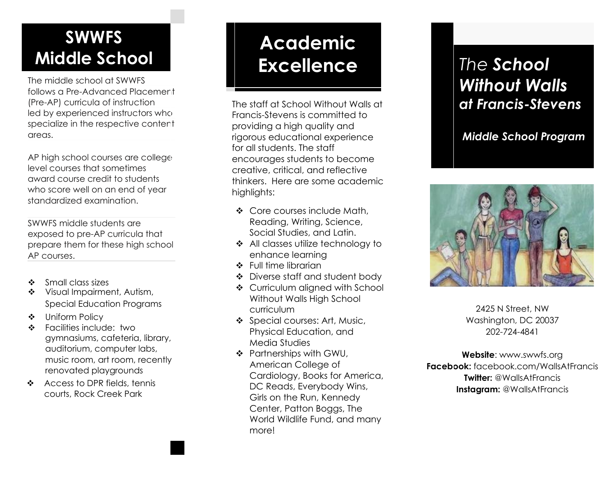### **SWWFS Middle School**

The middle school at SWWFS follows a Pre-Advanced Placement (Pre-AP) curricula of instruction led by experienced instructors who specialize in the respective content areas.

AP high school courses are college level courses that sometimes award course credit to students who score well on an end of year standardized examination.

SWWFS middle students are exposed to pre-AP curricula that prepare them for these high school AP courses.

- ❖ Small class sizes
- ❖ Visual Impairment, Autism, Special Education Programs
- ❖ Uniform Policy
- ❖ Facilities include: two gymnasiums, cafeteria, library, auditorium, computer labs, music room, art room, recently renovated playgrounds
- ❖ Access to DPR fields, tennis courts, Rock Creek Park

## **Academic Excellence** *The School*

The staff at School Without Walls at Francis-Stevens is committed to providing a high quality and rigorous educational experience for all students. The staff encourages students to become creative, critical, and reflective thinkers. Here are some academic highlights:

- ❖ Core courses include Math, Reading, Writing, Science, Social Studies, and Latin.
- ❖ All classes utilize technology to enhance learning
- ❖ Full time librarian
- ❖ Diverse staff and student body
- ❖ Curriculum aligned with School Without Walls High School curriculum
- ❖ Special courses: Art, Music, Physical Education, and Media Studies
- ❖ Partnerships with GWU, American College of Cardiology, Books for America, DC Reads, Everybody Wins, Girls on the Run, Kennedy Center, Patton Boggs, The World Wildlife Fund, and many more!

# *Without Walls at Francis-Stevens*

*Middle School Program*



2425 N Street, NW Washington, DC 20037 202-724-4841

**Website**: www.swwfs.org **Facebook:** facebook.com/WallsAtFrancis **Twitter:** @WallsAtFrancis **Instagram:** @WallsAtFrancis